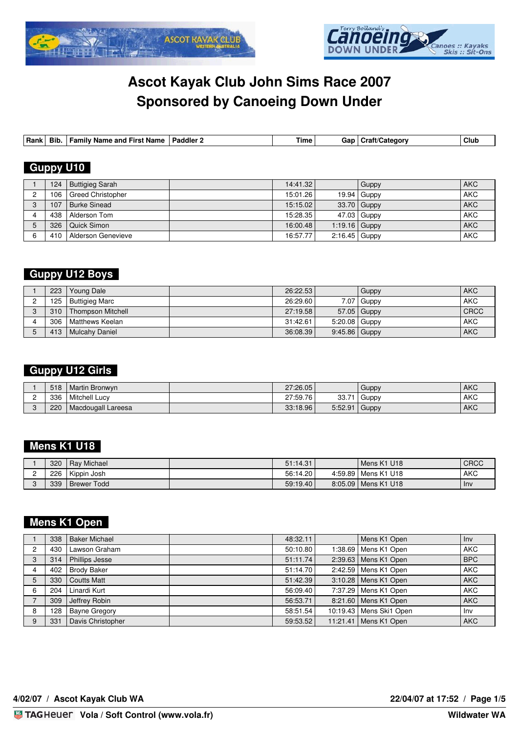



| Rank | $- \cdot$<br>Bib | anc<br>amilv<br>∶Name<br>Name<br>'−ırsı | ∟ Paddler ″ | ıme | Gar | .<br>Category<br>— Jraπ″ | Clul |
|------|------------------|-----------------------------------------|-------------|-----|-----|--------------------------|------|

## **Guppy U10**

| 124 | Buttigieg Sarah          | 14:41.32 |                 | Guppy         | <b>AKC</b> |
|-----|--------------------------|----------|-----------------|---------------|------------|
| 106 | <b>Greed Christopher</b> | 15:01.26 |                 | $19.94$ Guppy | <b>AKC</b> |
| 107 | <b>Burke Sinead</b>      | 15:15.02 |                 | $33.70$ Guppy | <b>AKC</b> |
| 438 | Alderson Tom             | 15:28.35 |                 | 47.03 Guppy   | <b>AKC</b> |
| 326 | Quick Simon              | 16:00.48 | $1:19.16$ Guppy |               | <b>AKC</b> |
| 410 | Alderson Genevieve       | 16:57.77 | 2:16.45 Guppy   |               | <b>AKC</b> |

### **Guppy U12 Boys**

| 223 | Young Dale        | 26:22.53 |                 | Guppy         | <b>AKC</b>  |
|-----|-------------------|----------|-----------------|---------------|-------------|
| 125 | Buttigieg Marc    | 26:29.60 |                 | $7.07$ Guppy  | AKC         |
| 310 | Thompson Mitchell | 27:19.58 |                 | $57.05$ Guppy | <b>CRCC</b> |
| 306 | l Matthews Keelan | 31:42.61 | $5:20.08$ Guppy |               | <b>AKC</b>  |
| 413 | l Mulcahv Daniel  | 36:08.39 | $9:45.86$ Guppy |               | <b>AKC</b>  |

# **Guppy U12 Girls**

| 518 | Martin Bronwyn       | 27:26.05 |                 | Guppy              | <b>AKC</b> |
|-----|----------------------|----------|-----------------|--------------------|------------|
| 336 | <b>Mitchell Lucy</b> | 27:59.76 | 33.71           | <sup>I</sup> Guppy | <b>AKC</b> |
| 220 | Macdougall Lareesa   | 33:18.96 | $5:52.91$ Guppy |                    | <b>AKC</b> |

## **Mens K1 U18**

| 320 | <b>Rav Michael</b> | 51:14.31 | I Mens K1 U18         | <b>CRCC</b> |
|-----|--------------------|----------|-----------------------|-------------|
| 226 | l Kippin Josh      | 56:14.20 | 4:59.89   Mens K1 U18 | <b>AKC</b>  |
| 339 | Brewer Todd        | 59:19.40 | 8:05.09   Mens K1 U18 | Inv         |

# **Mens K1 Open**

|   | 338 | <b>Baker Michael</b> | 48:32.11 | Mens K1 Open              | Inv        |
|---|-----|----------------------|----------|---------------------------|------------|
| C | 430 | Lawson Graham        | 50:10.80 | 1:38.69   Mens K1 Open    | l AKC      |
| 3 | 314 | Phillips Jesse       | 51:11.74 | 2:39.63   Mens K1 Open    | l BPC      |
|   | 402 | <b>Brody Baker</b>   | 51:14.70 | 2:42.59   Mens K1 Open    | <b>AKC</b> |
|   | 330 | <b>Coutts Matt</b>   | 51:42.39 | 3:10.28   Mens K1 Open    | <b>AKC</b> |
|   | 204 | Linardi Kurt         | 56:09.40 | 7:37.29   Mens K1 Open    | <b>AKC</b> |
|   | 309 | Jeffrey Robin        | 56:53.71 | 8:21.60   Mens K1 Open    | <b>AKC</b> |
| 8 | 128 | <b>Bayne Gregory</b> | 58:51.54 | 10:19.43   Mens Ski1 Open | l Inv      |
| 9 | 331 | Davis Christopher    | 59:53.52 | 11:21.41   Mens K1 Open   | l AKC      |

**4/02/07 / Ascot Kayak Club WA 22/04/07 at 17:52 / Page 1/5**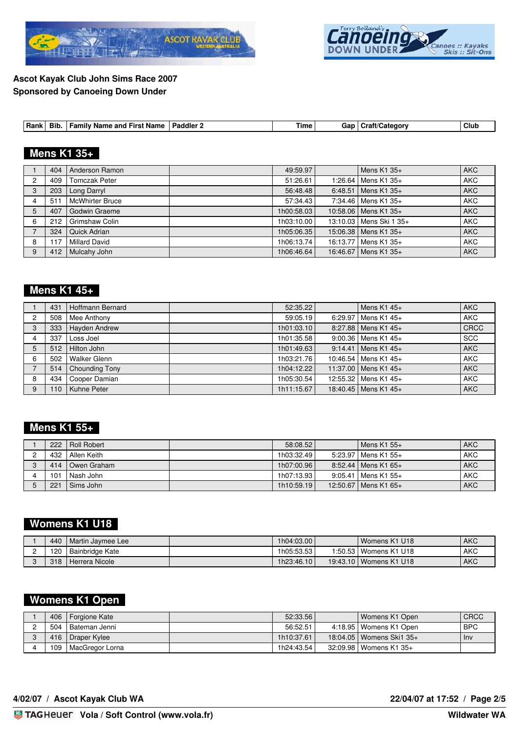



| Bib.<br>Paddler<br>Family<br>and<br><b>First Name</b><br><b>Name</b> | $-$<br>Gar<br>Гіmе | ⊶raft/Category | Clut |
|----------------------------------------------------------------------|--------------------|----------------|------|
|----------------------------------------------------------------------|--------------------|----------------|------|

# **Mens K1 35+**

|   | 404 | Anderson Ramon         | 49:59.97   | Mens $K1$ 35+           | <b>AKC</b> |
|---|-----|------------------------|------------|-------------------------|------------|
| 2 | 409 | <b>Tomczak Peter</b>   | 51:26.61   | 1:26.64   Mens K1 35+   | <b>AKC</b> |
| 3 | 203 | Long Darryl            | 56:48.48   | 6:48.51   Mens K1 35+   | <b>AKC</b> |
|   | 511 | <b>McWhirter Bruce</b> | 57:34.43   | 7:34.46 Mens K1 35+     | <b>AKC</b> |
| 5 | 407 | Godwin Graeme          | 1h00:58.03 | 10:58.06   Mens K1 35+  | <b>AKC</b> |
| 6 | 212 | Grimshaw Colin         | 1h03:10.00 | 13:10.03 Mens Ski 1 35+ | <b>AKC</b> |
|   | 324 | Quick Adrian           | 1h05:06.35 | 15:06.38   Mens K1 35+  | <b>AKC</b> |
| 8 | 117 | <b>Millard David</b>   | 1h06:13.74 | 16:13.77   Mens K1 35+  | <b>AKC</b> |
| 9 | 412 | Mulcahy John           | 1h06:46.64 | 16:46.67   Mens K1 35+  | <b>AKC</b> |

#### **Mens K1 45+**

|                | 431 | Hoffmann Bernard | 52:35.22   | Mens $K1$ 45+          | l AKC       |
|----------------|-----|------------------|------------|------------------------|-------------|
| $\overline{2}$ | 508 | Mee Anthony      | 59:05.19   | 6:29.97 Mens K1 45+    | l AKC       |
| 3              | 333 | Hayden Andrew    | 1h01:03.10 | 8:27.88   Mens K1 45+  | <b>CRCC</b> |
| 4              | 337 | Loss Joel        | 1h01:35.58 | 9:00.36 Mens K1 45+    | <b>SCC</b>  |
| 5              | 512 | Hilton John      | 1h01:49.63 | 9:14.41   Mens K1 45+  | <b>AKC</b>  |
| 6              | 502 | Walker Glenn     | 1h03:21.76 | 10:46.54 Mens K1 45+   | l AKC       |
|                | 514 | Chounding Tony   | 1h04:12.22 | 11:37.00 Mens K1 45+   | l AKC       |
| 8              | 434 | Cooper Damian    | 1h05:30.54 | 12:55.32 Mens K1 45+   | l AKC       |
| 9              | 110 | Kuhne Peter      | 1h11:15.67 | 18:40.45   Mens K1 45+ | <b>AKC</b>  |

# **Mens K1 55+**

| 222 | <b>I Roll Robert</b> | 58:08.52   | 1 Mens K1 55+           | <b>AKC</b> |
|-----|----------------------|------------|-------------------------|------------|
| 432 | I Allen Keith        | 1h03:32.49 | 5:23.97   Mens K1 55+   | <b>AKC</b> |
|     | 414   Owen Graham    | 1h07:00.96 | $8:52.44$   Mens K1 65+ | <b>AKC</b> |
| 101 | l Nash John          | 1h07:13.93 | 9:05.41   Mens K1 55+   | <b>AKC</b> |
| 221 | Sims John            | 1h10:59.19 | 12:50.67   Mens K1 65+  | <b>AKC</b> |

#### **Womens K1 U18**

| 440 | l Martin Javmee Lee          | 1h04:03.00 | I Womens K1 U18          | <b>AKC</b> |
|-----|------------------------------|------------|--------------------------|------------|
| 120 | <sup>I</sup> Bainbridge Kate | 1h05:53.53 | 1:50.53   Womens K1 U18  | <b>AKC</b> |
| 318 | Herrera Nicole               | 1h23:46.10 | 19:43.10   Womens K1 U18 | <b>AKC</b> |

# **Womens K1 Open**

| 406 | Forgione Kate   | 52:33.56     | l Womens K1 Open           | <b>CRCC</b>      |
|-----|-----------------|--------------|----------------------------|------------------|
| 504 | l Bateman Jenni | 56:52.51     | 4:18.95   Womens K1 Open   | <sup>1</sup> BPC |
| 416 | Draper Kylee    | 1h10:37.61   | 18:04.05   Womens Ski1 35+ | i Inv            |
| 109 | MacGregor Lorna | 1h24:43.54 l | 32:09.98 Womens K1 35+     |                  |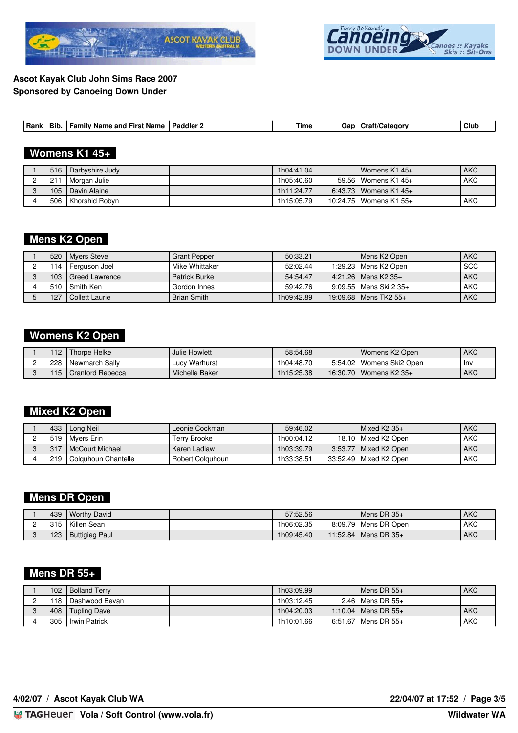



## **Womens K1 45+**

| 516 | Darbyshire Judy     | 1h04:41.04 | l Womens K1 45+          | <b>AKC</b> |
|-----|---------------------|------------|--------------------------|------------|
| 211 | Morgan Julie        | 1h05:40.60 | 59.56   Womens K1 45+    | <b>AKC</b> |
| 105 | <b>Davin Alaine</b> | 1h11:24.77 | 6:43.73   Womens K1 45+  |            |
| 506 | I Khorshid Robyn    | 1h15:05.79 | 10:24.75   Womens K1 55+ | <b>AKC</b> |

# **Mens K2 Open**

|                  | 520   Myers Steve   | Grant Pepper    | 50:33.21   | l Mens K2 Open           | AKC        |
|------------------|---------------------|-----------------|------------|--------------------------|------------|
|                  | 114   Ferguson Joel | Mike Whittaker  | 52:02.44   | 1:29.23   Mens K2 Open   | l SCC      |
| 103 <sub>1</sub> | l Greed Lawrence    | l Patrick Burke | 54:54.47   | $4:21.26$   Mens K2 35+  | <b>AKC</b> |
| 510              | I Smith Ken         | l Gordon Innes  | 59:42.76   | 9:09.55   Mens Ski 2 35+ | AKC        |
| 127              | l Collett Laurie    | Brian Smith     | 1h09:42.89 | 19:09.68   Mens TK2 55+  | <b>AKC</b> |

### **Womens K2 Open**

| 112 | 'Thorpe Helke    | Julie Howlett  | 58:54.68   | l Womens K2 Open           | <b>AKC</b> |
|-----|------------------|----------------|------------|----------------------------|------------|
| 228 | l Newmarch Sallv | Lucy Warhurst  | 1h04:48.70 | 5:54.02   Womens Ski2 Open | -Inv       |
| 115 | Cranford Rebecca | Michelle Baker | 1h15:25.38 | 16:30.70 Womens K2 35+     | AKC        |

### **Mixed K2 Open**

| 433 | Long Neil             | Leonie Cockman     | 59:46.02     | l Mixed K2 35+           | <b>AKC</b> |
|-----|-----------------------|--------------------|--------------|--------------------------|------------|
| 519 | l Mvers Erin          | Terrv Brooke       | 1h00:04.12 l | 18.10 Mixed K2 Open      | <b>AKC</b> |
| 317 | l McCourt Michael     | I Karen Ladlaw     | 1h03:39.79   | 3:53.77   Mixed K2 Open  | <b>AKC</b> |
| 219 | I Colguhoun Chantelle | l Robert Colauhoun | 1h33:38.51   | 33:52.49   Mixed K2 Open | AKC        |

#### **Mens DR Open**

| 439 | l Worthy David           | 57:52.56   | l Mens DR 35+          | <b>AKC</b> |
|-----|--------------------------|------------|------------------------|------------|
| 315 | <sup>t</sup> Killen Sean | 1h06:02.35 | 8:09.79   Mens DR Open | <b>AKC</b> |
| 123 | Buttigieg Paul           | 1h09:45.40 | 11:52.84   Mens DR 35+ | <b>AKC</b> |

## **Mens DR 55+**

| 102 | <b>Bolland Terry</b> | 1h03:09.99 l | $l$ Mens DR 55+                 | <b>AKC</b> |
|-----|----------------------|--------------|---------------------------------|------------|
| 118 | l Dashwood Bevan     | 1h03:12.45 l | 2.46 $\blacksquare$ Mens DR 55+ |            |
| 408 | <b>Tupling Dave</b>  | 1h04:20.03   | 1:10.04   Mens DR $55+$         | <b>AKC</b> |
| 305 | I Irwin Patrick      | 1h10:01.66   | $6:51.67$   Mens DR $55+$       | <b>AKC</b> |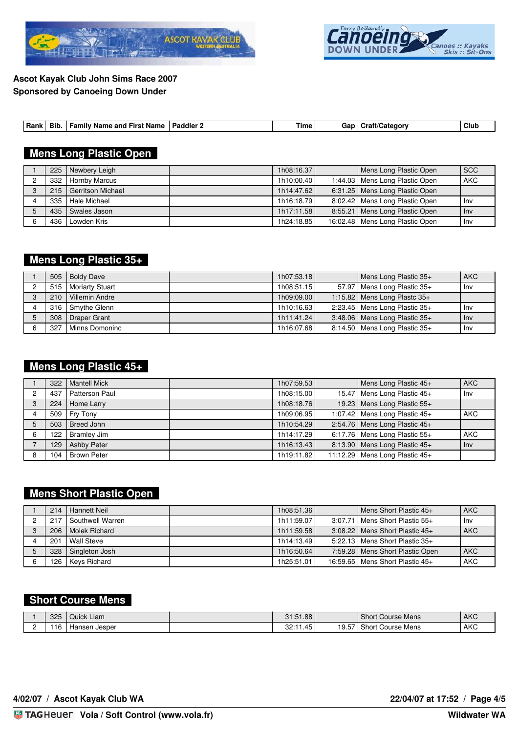



### **Mens Long Plastic Open**

| 225 | Newbery Leigh     | 1h08:16.37 | Mens Long Plastic Open            | l scc |
|-----|-------------------|------------|-----------------------------------|-------|
| 332 | Hornby Marcus     | 1h10:00.40 | 1:44.03   Mens Long Plastic Open  | l AKC |
| 215 | Gerritson Michael | 1h14:47.62 | 6:31.25   Mens Long Plastic Open  |       |
| 335 | Hale Michael      | 1h16:18.79 | 8:02.42   Mens Long Plastic Open  | l Inv |
| 435 | Swales Jason      | 1h17:11.58 | 8:55.21   Mens Long Plastic Open  | Inv   |
| 436 | Lowden Kris       | 1h24:18.85 | 16:02.48   Mens Long Plastic Open | l Inv |

### **Mens Long Plastic 35+**

| 505 | <b>Boldy Dave</b>      | 1h07:53.18   | Mens Long Plastic 35+             | <b>AKC</b> |
|-----|------------------------|--------------|-----------------------------------|------------|
| 515 | <b>Moriarty Stuart</b> | 1h08:51.15   | 57.97 Mens Long Plastic 35+       | l Inv      |
| 210 | Villemin Andre         | 1h09:09.00 l | 1:15.82   Mens Long Plastc $35+$  |            |
|     | 316 Smythe Glenn       | 1h10:16.63   | 2:23.45   Mens Long Plastic 35+   | l Inv      |
| 308 | Draper Grant           | 1h11:41.24   | $3:48.06$ Mens Long Plastic $35+$ | $ $ lnv    |
| 327 | Minns Domoninc         | 1h16:07.68   | 8:14.50   Mens Long Plastic 35+   | l Inv      |

#### **Mens Long Plastic 45+**

|   | 322 | Mantell Mick       | 1h07:59.53          | Mens Long Plastic 45+             | l AKC      |
|---|-----|--------------------|---------------------|-----------------------------------|------------|
|   | 437 | Patterson Paul     | 1h08:15.00 <b>l</b> | 15.47 Mens Long Plastic 45+       | l Inv      |
| 3 | 224 | Home Larry         | 1h08:18.76          | 19.23 Mens Long Plastic 55+       |            |
|   | 509 | Fry Tony           | 1h09:06.95          | 1:07.42   Mens Long Plastic $45+$ | <b>AKC</b> |
|   | 503 | Breed John         | 1h10:54.29          | 2:54.76   Mens Long Plastic $45+$ |            |
| 6 | 122 | Bramley Jim        | 1h14:17.29          | 6:17.76 Mens Long Plastic $55+$   | l AKC      |
|   | 129 | <b>Ashby Peter</b> | 1h16:13.43          | 8:13.90   Mens Long Plastic 45+   | l Inv      |
|   | 104 | l Brown Peter      | 1h19:11.82          | 11:12.29   Mens Long Plastic 45+  |            |

### **Mens Short Plastic Open**

| 214 | Hannett Neil     | 1h08:51.36 | Mens Short Plastic 45+              | <b>AKC</b> |
|-----|------------------|------------|-------------------------------------|------------|
| 217 | Southwell Warren | 1h11:59.07 | 3:07.71   Mens Short Plastic 55+    | l Inv      |
| 206 | l Molek Richard  | 1h11:59.58 | $3:08.22$   Mens Short Plastic 45+  | <b>AKC</b> |
| 201 | Wall Steve       | 1h14:13.49 | 5:22.13   Mens Short Plastic 35+    |            |
| 328 | Singleton Josh   | 1h16:50.64 | 7:59.28   Mens Short Plastic Open   | <b>AKC</b> |
| 126 | Keys Richard     | 1h25:51.01 | 16:59.65   Mens Short Plastic $45+$ | <b>AKC</b> |

# **Short Course Mens**

| 325 | ∽<br>uick<br>: Liam | $-1.51.88$ $\blacksquare$                         |             | Short<br>Course Mens                                  | <b>AKC</b> |
|-----|---------------------|---------------------------------------------------|-------------|-------------------------------------------------------|------------|
| 11F | . Hansen Jesper     | $\overline{\phantom{0}}$<br>00.1<br>. 45 '<br>.ءت | 1077<br>9.5 | .0001<br>$\overline{\phantom{0}}$<br>Course Mens<br>. | AKC        |